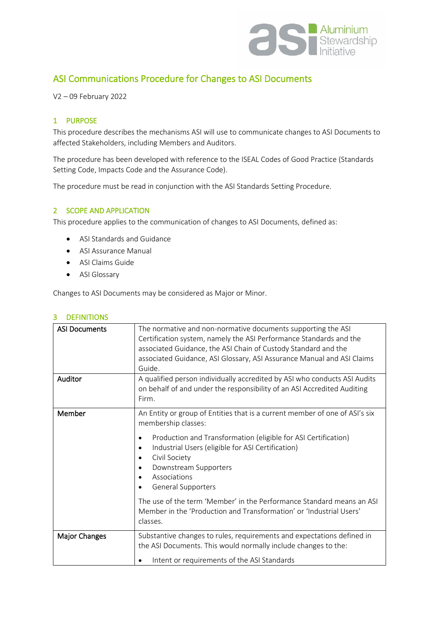

# ASI Communications Procedure for Changes to ASI Documents

V2 – 09 February 2022

#### 1 PURPOSE

This procedure describes the mechanisms ASI will use to communicate changes to ASI Documents to affected Stakeholders, including Members and Auditors.

The procedure has been developed with reference to the ISEAL Codes of Good Practice (Standards Setting Code, Impacts Code and the Assurance Code).

The procedure must be read in conjunction with the ASI Standards Setting Procedure.

## 2 SCOPE AND APPLICATION

This procedure applies to the communication of changes to ASI Documents, defined as:

- ASI Standards and Guidance
- ASI Assurance Manual
- ASI Claims Guide
- ASI Glossary

Changes to ASI Documents may be considered as Major or Minor.

| <b>ASI Documents</b> | The normative and non-normative documents supporting the ASI<br>Certification system, namely the ASI Performance Standards and the<br>associated Guidance, the ASI Chain of Custody Standard and the<br>associated Guidance, ASI Glossary, ASI Assurance Manual and ASI Claims<br>Guide. |
|----------------------|------------------------------------------------------------------------------------------------------------------------------------------------------------------------------------------------------------------------------------------------------------------------------------------|
| Auditor              | A qualified person individually accredited by ASI who conducts ASI Audits<br>on behalf of and under the responsibility of an ASI Accredited Auditing<br>Firm.                                                                                                                            |
| Member               | An Entity or group of Entities that is a current member of one of ASI's six<br>membership classes:                                                                                                                                                                                       |
|                      | Production and Transformation (eligible for ASI Certification)<br>$\bullet$<br>Industrial Users (eligible for ASI Certification)<br>$\bullet$<br>Civil Society<br>Downstream Supporters<br>Associations<br><b>General Supporters</b>                                                     |
|                      | The use of the term 'Member' in the Performance Standard means an ASI<br>Member in the 'Production and Transformation' or 'Industrial Users'<br>classes.                                                                                                                                 |
| Major Changes        | Substantive changes to rules, requirements and expectations defined in<br>the ASI Documents. This would normally include changes to the:<br>Intent or requirements of the ASI Standards                                                                                                  |

## 3 DEFINITIONS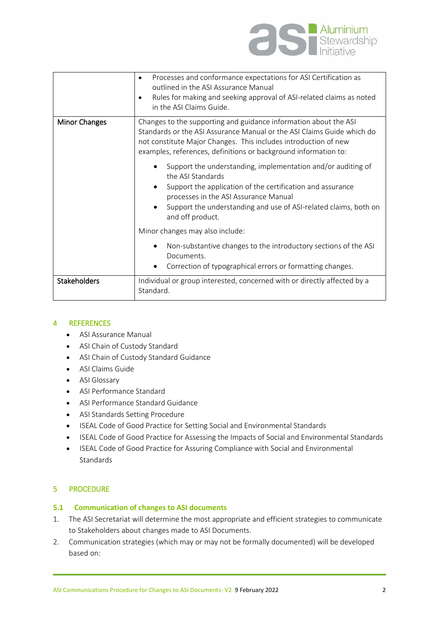

|                      | Processes and conformance expectations for ASI Certification as<br>٠<br>outlined in the ASI Assurance Manual<br>Rules for making and seeking approval of ASI-related claims as noted<br>٠<br>in the ASI Claims Guide.                                                                         |
|----------------------|-----------------------------------------------------------------------------------------------------------------------------------------------------------------------------------------------------------------------------------------------------------------------------------------------|
| <b>Minor Changes</b> | Changes to the supporting and guidance information about the ASI<br>Standards or the ASI Assurance Manual or the ASI Claims Guide which do<br>not constitute Major Changes. This includes introduction of new<br>examples, references, definitions or background information to:              |
|                      | Support the understanding, implementation and/or auditing of<br>the ASI Standards<br>Support the application of the certification and assurance<br>processes in the ASI Assurance Manual<br>Support the understanding and use of ASI-related claims, both on<br>$\bullet$<br>and off product. |
|                      | Minor changes may also include:                                                                                                                                                                                                                                                               |
|                      | Non-substantive changes to the introductory sections of the ASI<br>Documents.<br>Correction of typographical errors or formatting changes.                                                                                                                                                    |
| <b>Stakeholders</b>  | Individual or group interested, concerned with or directly affected by a                                                                                                                                                                                                                      |
|                      | Standard.                                                                                                                                                                                                                                                                                     |

## 4 REFERENCES

- ASI Assurance Manual
- ASI Chain of Custody Standard
- ASI Chain of Custody Standard Guidance
- ASI Claims Guide
- ASI Glossary
- ASI Performance Standard
- ASI Performance Standard Guidance
- ASI Standards Setting Procedure
- ISEAL Code of Good Practice for Setting Social and Environmental Standards
- ISEAL Code of Good Practice for Assessing the Impacts of Social and Environmental Standards
- ISEAL Code of Good Practice for Assuring Compliance with Social and Environmental **Standards**

## 5 PROCEDURE

#### **5.1 Communication of changes to ASI documents**

- 1. The ASI Secretariat will determine the most appropriate and efficient strategies to communicate to Stakeholders about changes made to ASI Documents.
- 2. Communication strategies (which may or may not be formally documented) will be developed based on: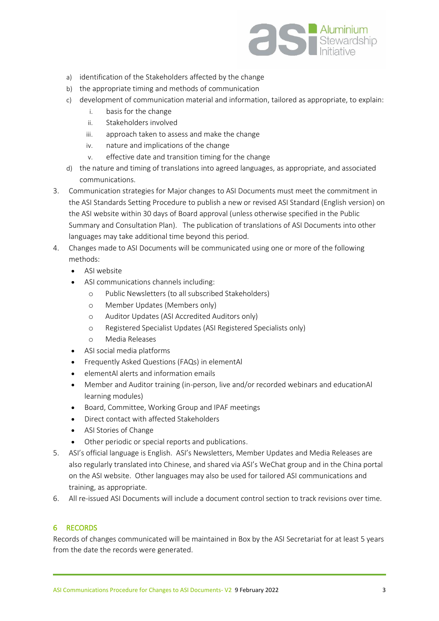

- a) identification of the Stakeholders affected by the change
- b) the appropriate timing and methods of communication
- c) development of communication material and information, tailored as appropriate, to explain:
	- i. basis for the change
	- ii. Stakeholders involved
	- iii. approach taken to assess and make the change
	- iv. nature and implications of the change
	- v. effective date and transition timing for the change
- d) the nature and timing of translations into agreed languages, as appropriate, and associated communications.
- 3. Communication strategies for Major changes to ASI Documents must meet the commitment in the ASI Standards Setting Procedure to publish a new or revised ASI Standard (English version) on the ASI website within 30 days of Board approval (unless otherwise specified in the Public Summary and Consultation Plan). The publication of translations of ASI Documents into other languages may take additional time beyond this period.
- 4. Changes made to ASI Documents will be communicated using one or more of the following methods:
	- ASI website
	- ASI communications channels including:
		- o Public Newsletters (to all subscribed Stakeholders)
		- o Member Updates (Members only)
		- o Auditor Updates (ASI Accredited Auditors only)
		- o Registered Specialist Updates (ASI Registered Specialists only)
		- o Media Releases
	- ASI social media platforms
	- Frequently Asked Questions (FAQs) in elementAl
	- elementAl alerts and information emails
	- Member and Auditor training (in-person, live and/or recorded webinars and educationAl learning modules)
	- Board, Committee, Working Group and IPAF meetings
	- Direct contact with affected Stakeholders
	- ASI Stories of Change
	- Other periodic or special reports and publications.
- 5. ASI's official language is English. ASI's Newsletters, Member Updates and Media Releases are also regularly translated into Chinese, and shared via ASI's WeChat group and in the China portal on the ASI website. Other languages may also be used for tailored ASI communications and training, as appropriate.
- 6. All re-issued ASI Documents will include a document control section to track revisions over time.

#### 6 RECORDS

Records of changes communicated will be maintained in Box by the ASI Secretariat for at least 5 years from the date the records were generated.